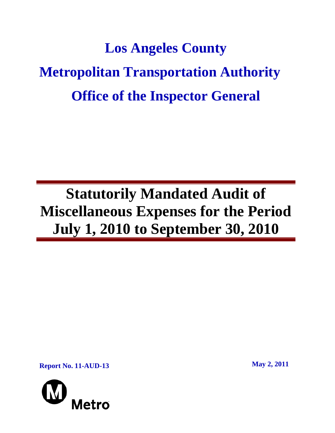# **Los Angeles County Metropolitan Transportation Authority Office of the Inspector General**

## **Statutorily Mandated Audit of Miscellaneous Expenses for the Period July 1, 2010 to September 30, 2010**

**Report No. 11-AUD-13** May 2, 2011

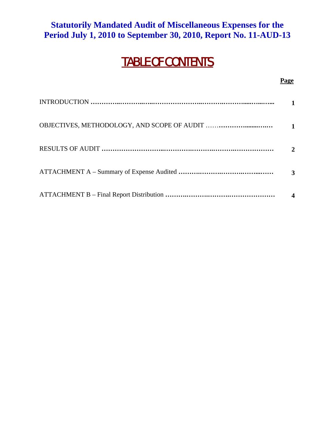#### **Statutorily Mandated Audit of Miscellaneous Expenses for the Period July 1, 2010 to September 30, 2010, Report No. 11-AUD-13**

### TABLE OF CONTENTS

#### **Page**

| 2 |
|---|
|   |
|   |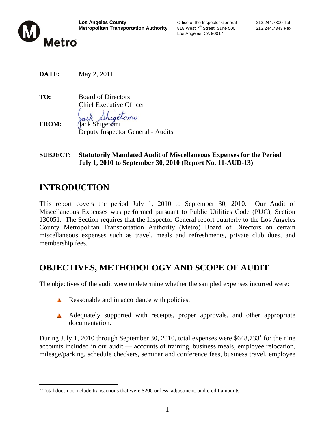

**Los Angeles County**<br> **Metropolitan Transportation Authority** 818 West 7<sup>th</sup> Street, Suite 500 213.244.7343 Fax **Metropolitan Transportation Authority** 818 West 7<sup>th</sup> Street, Suite 500 213.244.7343 Fax Los Angeles, CA 90017

**DATE:** May 2, 2011

**TO:** Board of Directors Chief Executive Officer retomi **FROM:** Jack Shigetomi Deputy Inspector General - Audits

**SUBJECT: Statutorily Mandated Audit of Miscellaneous Expenses for the Period July 1, 2010 to September 30, 2010 (Report No. 11-AUD-13)** 

#### **INTRODUCTION**

 $\overline{a}$ 

This report covers the period July 1, 2010 to September 30, 2010. Our Audit of Miscellaneous Expenses was performed pursuant to Public Utilities Code (PUC), Section 130051. The Section requires that the Inspector General report quarterly to the Los Angeles County Metropolitan Transportation Authority (Metro) Board of Directors on certain miscellaneous expenses such as travel, meals and refreshments, private club dues, and membership fees.

#### **OBJECTIVES, METHODOLOGY AND SCOPE OF AUDIT**

The objectives of the audit were to determine whether the sampled expenses incurred were:

- Reasonable and in accordance with policies. A
- A Adequately supported with receipts, proper approvals, and other appropriate documentation.

During July 1, 2010 through September 30, 2010, total expenses were \$648,733<sup>1</sup> for the nine accounts included in our audit — accounts of training, business meals, employee relocation, mileage/parking, schedule checkers, seminar and conference fees, business travel, employee

 $1$  Total does not include transactions that were \$200 or less, adjustment, and credit amounts.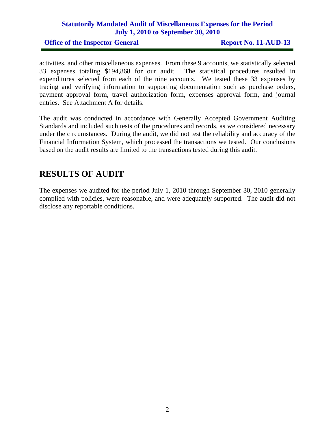#### **Statutorily Mandated Audit of Miscellaneous Expenses for the Period July 1, 2010 to September 30, 2010**

**Office of the Inspector General Report No. 11-AUD-13** 

activities, and other miscellaneous expenses. From these 9 accounts, we statistically selected 33 expenses totaling \$194,868 for our audit. The statistical procedures resulted in expenditures selected from each of the nine accounts. We tested these 33 expenses by tracing and verifying information to supporting documentation such as purchase orders, payment approval form, travel authorization form, expenses approval form, and journal entries. See Attachment A for details.

The audit was conducted in accordance with Generally Accepted Government Auditing Standards and included such tests of the procedures and records, as we considered necessary under the circumstances. During the audit, we did not test the reliability and accuracy of the Financial Information System, which processed the transactions we tested. Our conclusions based on the audit results are limited to the transactions tested during this audit.

#### **RESULTS OF AUDIT**

The expenses we audited for the period July 1, 2010 through September 30, 2010 generally complied with policies, were reasonable, and were adequately supported. The audit did not disclose any reportable conditions.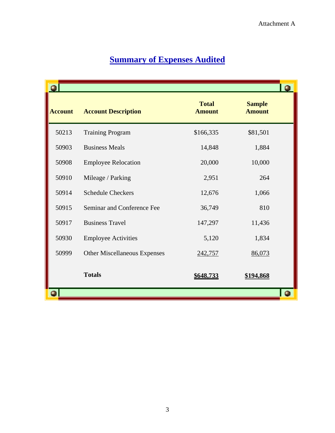|                |                                     |                               |                                | O              |
|----------------|-------------------------------------|-------------------------------|--------------------------------|----------------|
| <b>Account</b> | <b>Account Description</b>          | <b>Total</b><br><b>Amount</b> | <b>Sample</b><br><b>Amount</b> |                |
| 50213          | <b>Training Program</b>             | \$166,335                     | \$81,501                       |                |
| 50903          | <b>Business Meals</b>               | 14,848                        | 1,884                          |                |
| 50908          | <b>Employee Relocation</b>          | 20,000                        | 10,000                         |                |
| 50910          | Mileage / Parking                   | 2,951                         | 264                            |                |
| 50914          | <b>Schedule Checkers</b>            | 12,676                        | 1,066                          |                |
| 50915          | Seminar and Conference Fee          | 36,749                        | 810                            |                |
| 50917          | <b>Business Travel</b>              | 147,297                       | 11,436                         |                |
| 50930          | <b>Employee Activities</b>          | 5,120                         | 1,834                          |                |
| 50999          | <b>Other Miscellaneous Expenses</b> | 242,757                       | 86,073                         |                |
|                | <b>Totals</b>                       | \$648,733                     | <u>\$194,868</u>               |                |
|                |                                     |                               |                                | $\blacksquare$ |

#### **Summary of Expenses Audited**